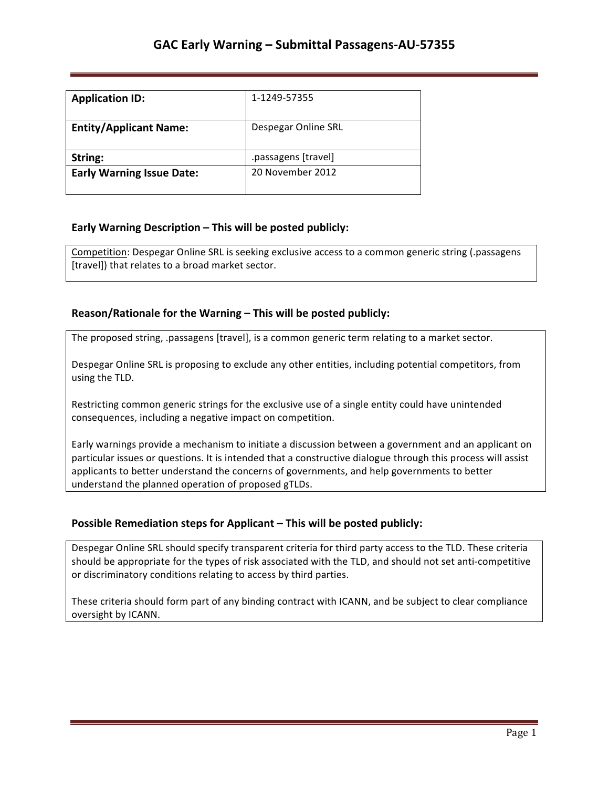| <b>Application ID:</b>           | 1-1249-57355        |
|----------------------------------|---------------------|
| <b>Entity/Applicant Name:</b>    | Despegar Online SRL |
| String:                          | .passagens [travel] |
| <b>Early Warning Issue Date:</b> | 20 November 2012    |

### **Early Warning Description – This will be posted publicly:**

Competition: Despegar Online SRL is seeking exclusive access to a common generic string (.passagens [travel]) that relates to a broad market sector.

### **Reason/Rationale for the Warning – This will be posted publicly:**

The proposed string, .passagens [travel], is a common generic term relating to a market sector.

Despegar Online SRL is proposing to exclude any other entities, including potential competitors, from using the TLD.

Restricting common generic strings for the exclusive use of a single entity could have unintended consequences, including a negative impact on competition.

Early warnings provide a mechanism to initiate a discussion between a government and an applicant on particular issues or questions. It is intended that a constructive dialogue through this process will assist applicants to better understand the concerns of governments, and help governments to better understand the planned operation of proposed gTLDs.

#### **Possible Remediation steps for Applicant – This will be posted publicly:**

Despegar Online SRL should specify transparent criteria for third party access to the TLD. These criteria should be appropriate for the types of risk associated with the TLD, and should not set anti-competitive or discriminatory conditions relating to access by third parties.

These criteria should form part of any binding contract with ICANN, and be subject to clear compliance oversight by ICANN.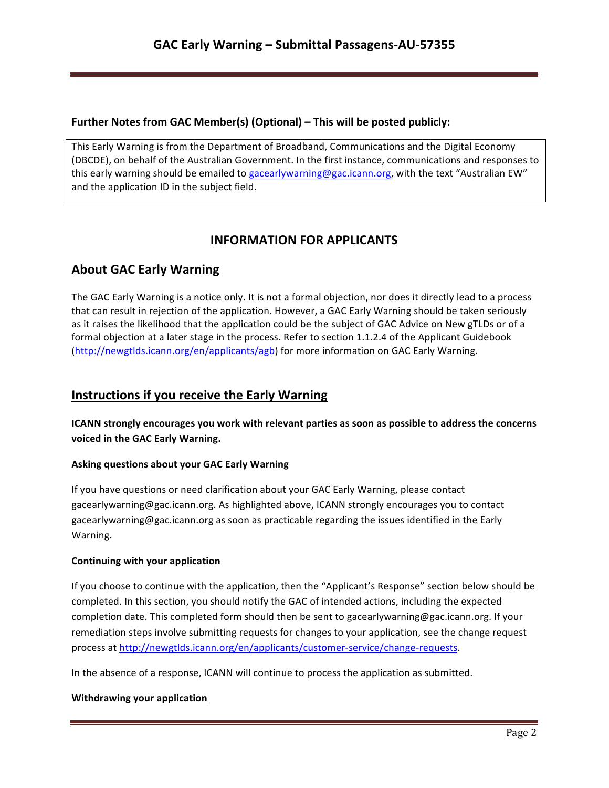## **Further Notes from GAC Member(s) (Optional) – This will be posted publicly:**

This Early Warning is from the Department of Broadband, Communications and the Digital Economy (DBCDE), on behalf of the Australian Government. In the first instance, communications and responses to this early warning should be emailed to gacearlywarning@gac.icann.org, with the text "Australian EW" and the application ID in the subject field.

# **INFORMATION FOR APPLICANTS**

# **About GAC Early Warning**

The GAC Early Warning is a notice only. It is not a formal objection, nor does it directly lead to a process that can result in rejection of the application. However, a GAC Early Warning should be taken seriously as it raises the likelihood that the application could be the subject of GAC Advice on New gTLDs or of a formal objection at a later stage in the process. Refer to section 1.1.2.4 of the Applicant Guidebook (http://newgtlds.icann.org/en/applicants/agb) for more information on GAC Early Warning.

# **Instructions if you receive the Early Warning**

**ICANN** strongly encourages you work with relevant parties as soon as possible to address the concerns voiced in the GAC Early Warning.

## **Asking questions about your GAC Early Warning**

If you have questions or need clarification about your GAC Early Warning, please contact gacearlywarning@gac.icann.org. As highlighted above, ICANN strongly encourages you to contact gacearlywarning@gac.icann.org as soon as practicable regarding the issues identified in the Early Warning. 

#### **Continuing with your application**

If you choose to continue with the application, then the "Applicant's Response" section below should be completed. In this section, you should notify the GAC of intended actions, including the expected completion date. This completed form should then be sent to gacearlywarning@gac.icann.org. If your remediation steps involve submitting requests for changes to your application, see the change request process at http://newgtlds.icann.org/en/applicants/customer-service/change-requests.

In the absence of a response, ICANN will continue to process the application as submitted.

#### **Withdrawing your application**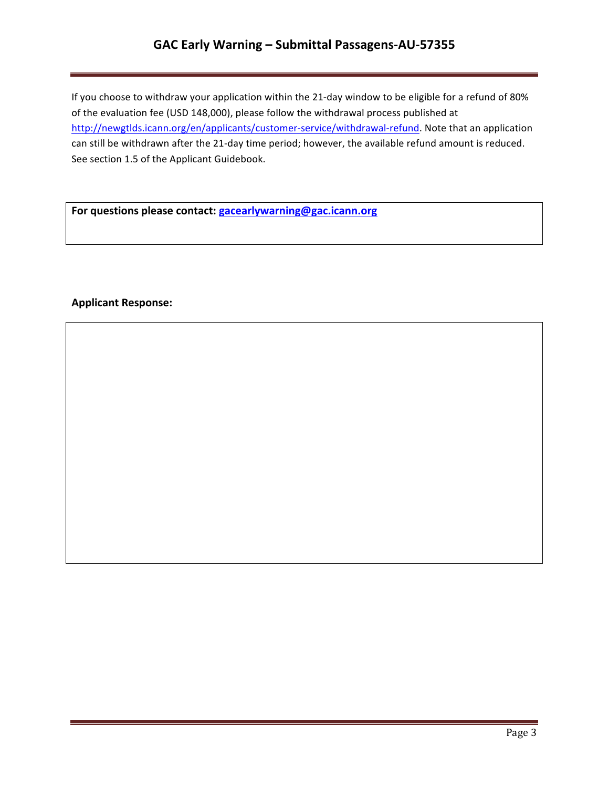# **GAC Early Warning – Submittal Passagens-AU-57355**

If you choose to withdraw your application within the 21-day window to be eligible for a refund of 80% of the evaluation fee (USD 148,000), please follow the withdrawal process published at http://newgtlds.icann.org/en/applicants/customer-service/withdrawal-refund. Note that an application can still be withdrawn after the 21-day time period; however, the available refund amount is reduced. See section 1.5 of the Applicant Guidebook.

For questions please contact: **gacearlywarning@gac.icann.org** 

### **Applicant Response:**